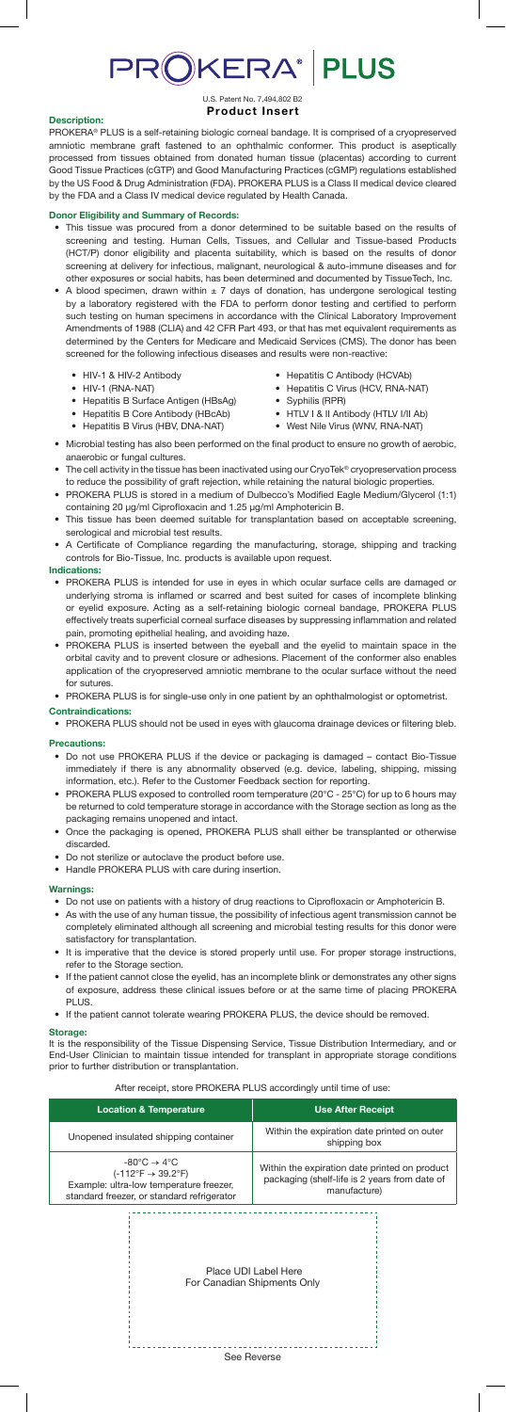# PROKERA® PLUS

#### U.S. Patent No. 7,494,802 B2 **Product Insert**

## **Description:**

PROKERA® PLUS is a self-retaining biologic corneal bandage. It is comprised of a cryopreserved amniotic membrane graft fastened to an ophthalmic conformer. This product is aseptically processed from tissues obtained from donated human tissue (placentas) according to current Good Tissue Practices (cGTP) and Good Manufacturing Practices (cGMP) regulations established by the US Food & Drug Administration (FDA). PROKERA PLUS is a Class II medical device cleared by the FDA and a Class IV medical device regulated by Health Canada.

## **Donor Eligibility and Summary of Records:**

- This tissue was procured from a donor determined to be suitable based on the results of screening and testing. Human Cells, Tissues, and Cellular and Tissue-based Products (HCT/P) donor eligibility and placenta suitability, which is based on the results of donor screening at delivery for infectious, malignant, neurological & auto-immune diseases and for other exposures or social habits, has been determined and documented by TissueTech, Inc.
- A blood specimen, drawn within  $\pm$  7 days of donation, has undergone serological testing by a laboratory registered with the FDA to perform donor testing and certified to perform such testing on human specimens in accordance with the Clinical Laboratory Improvement Amendments of 1988 (CLIA) and 42 CFR Part 493, or that has met equivalent requirements as determined by the Centers for Medicare and Medicaid Services (CMS). The donor has been screened for the following infectious diseases and results were non-reactive:
	- HIV-1 & HIV-2 Antibody
	- HIV-1 (RNA-NAT)
	- Hepatitis B Surface Antigen (HBsAg)

• Hepatitis B Virus (HBV, DNA-NAT)

- Hepatitis B Core Antibody (HBcAb)
- Hepatitis C Antibody (HCVAb) • Hepatitis C Virus (HCV, RNA-NAT)
- Syphilis (RPR)
- HTLV I & II Antibody (HTLV I/II Ab)
- West Nile Virus (WNV, RNA-NAT)
- Microbial testing has also been performed on the final product to ensure no growth of aerobic, anaerobic or fungal cultures.
- The cell activity in the tissue has been inactivated using our CryoTek® cryopreservation process to reduce the possibility of graft rejection, while retaining the natural biologic properties.
- PROKERA PLUS is stored in a medium of Dulbecco's Modified Eagle Medium/Glycerol (1:1) containing 20 µg/ml Ciprofloxacin and 1.25 µg/ml Amphotericin B.
- This tissue has been deemed suitable for transplantation based on acceptable screening, serological and microbial test results.
- A Certificate of Compliance regarding the manufacturing, storage, shipping and tracking controls for Bio-Tissue, Inc. products is available upon request.

## **Indications:**

- PROKERA PLUS is intended for use in eyes in which ocular surface cells are damaged or underlying stroma is inflamed or scarred and best suited for cases of incomplete blinking or eyelid exposure. Acting as a self-retaining biologic corneal bandage, PROKERA PLUS effectively treats superficial corneal surface diseases by suppressing inflammation and related pain, promoting epithelial healing, and avoiding haze.
- PROKERA PLUS is inserted between the eyeball and the eyelid to maintain space in the orbital cavity and to prevent closure or adhesions. Placement of the conformer also enables application of the cryopreserved amniotic membrane to the ocular surface without the need for sutures.
- PROKERA PLUS is for single-use only in one patient by an ophthalmologist or optometrist. **Contraindications:**
- **PROKERA PLUS should not be used in eyes with glaucoma drainage devices or filtering bleb.**

## **Precautions:**

- Do not use PROKERA PLUS if the device or packaging is damaged contact Bio-Tissue immediately if there is any abnormality observed (e.g. device, labeling, shipping, missing information, etc.). Refer to the Customer Feedback section for reporting.
- PROKERA PLUS exposed to controlled room temperature (20°C 25°C) for up to 6 hours may be returned to cold temperature storage in accordance with the Storage section as long as the packaging remains unopened and intact.
- Once the packaging is opened, PROKERA PLUS shall either be transplanted or otherwise discarded.
- Do not sterilize or autoclave the product before use.
- Handle PROKERA PLUS with care during insertion.

### **Warnings:**

- Do not use on patients with a history of drug reactions to Ciprofloxacin or Amphotericin B.
- As with the use of any human tissue, the possibility of infectious agent transmission cannot be completely eliminated although all screening and microbial testing results for this donor were satisfactory for transplantation.
- It is imperative that the device is stored properly until use. For proper storage instructions, refer to the Storage section.
- If the patient cannot close the eyelid, has an incomplete blink or demonstrates any other signs of exposure, address these clinical issues before or at the same time of placing PROKERA PLUS.
- If the patient cannot tolerate wearing PROKERA PLUS, the device should be removed.

#### **Storage:**

It is the responsibility of the Tissue Dispensing Service, Tissue Distribution Intermediary, and or End-User Clinician to maintain tissue intended for transplant in appropriate storage conditions prior to further distribution or transplantation.

#### After receipt, store PROKERA PLUS accordingly until time of use:

| <b>Location &amp; Temperature</b>                                                                                                                                                 | <b>Use After Receipt</b>                                                                                       |
|-----------------------------------------------------------------------------------------------------------------------------------------------------------------------------------|----------------------------------------------------------------------------------------------------------------|
| Unopened insulated shipping container                                                                                                                                             | Within the expiration date printed on outer<br>shipping box                                                    |
| $-80^{\circ}$ C $\rightarrow 4^{\circ}$ C<br>$(-112^{\circ}F \rightarrow 39.2^{\circ}F)$<br>Example: ultra-low temperature freezer,<br>standard freezer, or standard refrigerator | Within the expiration date printed on product<br>packaging (shelf-life is 2 years from date of<br>manufacture) |
|                                                                                                                                                                                   | Place UDI Label Here<br>For Canadian Shipments Only                                                            |